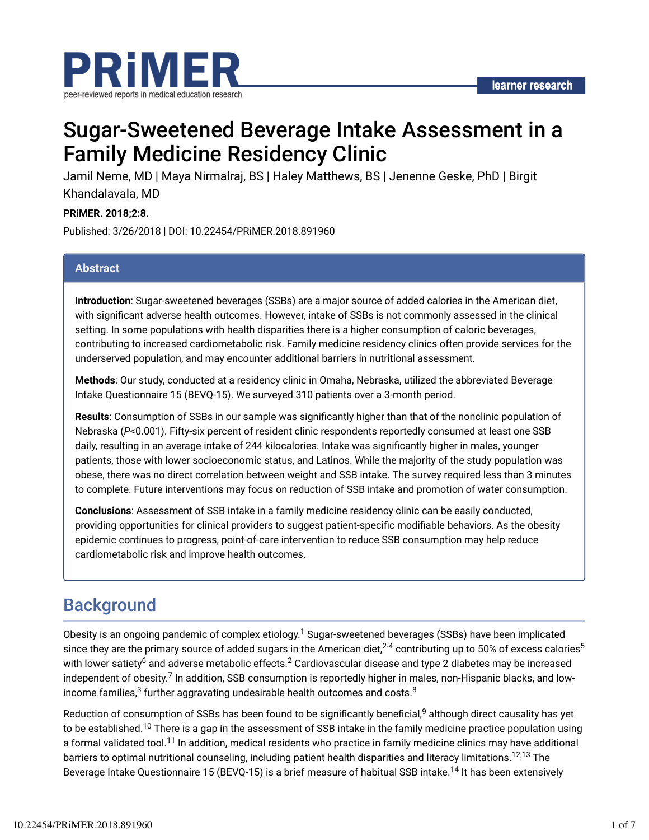

# Sugar-Sweetened Beverage Intake Assessment in a Family Medicine Residency Clinic

Jamil Neme, MD | Maya Nirmalraj, BS | Haley Matthews, BS | Jenenne Geske, PhD | Birgit Khandalavala, MD

#### **PRiMER. 2018;2:8.**

Published: 3/26/2018 | DOI: 10.22454/PRiMER.2018.891960

### **Abstract**

**Introduction**: Sugar-sweetened beverages (SSBs) are a major source of added calories in the American diet, with significant adverse health outcomes. However, intake of SSBs is not commonly assessed in the clinical setting. In some populations with health disparities there is a higher consumption of caloric beverages, contributing to increased cardiometabolic risk. Family medicine residency clinics often provide services for the underserved population, and may encounter additional barriers in nutritional assessment.

**Methods**: Our study, conducted at a residency clinic in Omaha, Nebraska, utilized the abbreviated Beverage Intake Questionnaire 15 (BEVQ-15). We surveyed 310 patients over a 3-month period.

**Results**: Consumption of SSBs in our sample was significantly higher than that of the nonclinic population of Nebraska (*P*<0.001). Fifty-six percent of resident clinic respondents reportedly consumed at least one SSB daily, resulting in an average intake of 244 kilocalories. Intake was significantly higher in males, younger patients, those with lower socioeconomic status, and Latinos. While the majority of the study population was obese, there was no direct correlation between weight and SSB intake. The survey required less than 3 minutes to complete. Future interventions may focus on reduction of SSB intake and promotion of water consumption.

**Conclusions**: Assessment of SSB intake in a family medicine residency clinic can be easily conducted, providing opportunities for clinical providers to suggest patient-specific modifiable behaviors. As the obesity epidemic continues to progress, point-of-care intervention to reduce SSB consumption may help reduce cardiometabolic risk and improve health outcomes.

# **Background**

Obesity is an ongoing pandemic of complex etiology.<sup>1</sup> Sugar-sweetened beverages (SSBs) have been implicated since they are the primary source of added sugars in the American diet, $^{2\text{-}4}$  contributing up to 50% of excess calories $^5$ with lower satiety<sup>6</sup> and adverse metabolic effects.<sup>2</sup> Cardiovascular disease and type 2 diabetes may be increased independent of obesity.<sup>7</sup> In addition, SSB consumption is reportedly higher in males, non-Hispanic blacks, and lowincome families, $^3$  further aggravating undesirable health outcomes and costs. $^8$ 

Reduction of consumption of SSBs has been found to be significantly beneficial, $^9$  although direct causality has yet to be established.<sup>10</sup> There is a gap in the assessment of SSB intake in the family medicine practice population using a formal validated tool.<sup>11</sup> In addition, medical residents who practice in family medicine clinics may have additional barriers to optimal nutritional counseling, including patient health disparities and literacy limitations.<sup>12,13</sup> The Beverage Intake Questionnaire 15 (BEVQ-15) is a brief measure of habitual SSB intake.<sup>14</sup> It has been extensively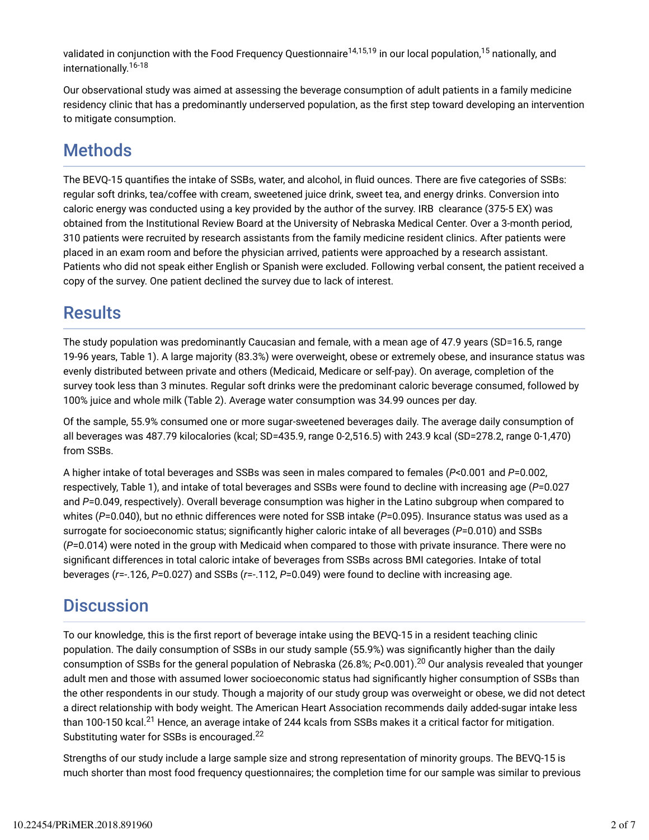validated in conjunction with the Food Frequency Questionnaire<sup>14,15,19</sup> in our local population,<sup>15</sup> nationally, and internationally. 16-18

Our observational study was aimed at assessing the beverage consumption of adult patients in a family medicine residency clinic that has a predominantly underserved population, as the first step toward developing an intervention to mitigate consumption.

# **Methods**

The BEVQ-15 quantifies the intake of SSBs, water, and alcohol, in fluid ounces. There are five categories of SSBs: regular soft drinks, tea/coffee with cream, sweetened juice drink, sweet tea, and energy drinks. Conversion into caloric energy was conducted using a key provided by the author of the survey. IRB clearance (375-5 EX) was obtained from the Institutional Review Board at the University of Nebraska Medical Center. Over a 3-month period, 310 patients were recruited by research assistants from the family medicine resident clinics. After patients were placed in an exam room and before the physician arrived, patients were approached by a research assistant. Patients who did not speak either English or Spanish were excluded. Following verbal consent, the patient received a copy of the survey. One patient declined the survey due to lack of interest.

# Results

The study population was predominantly Caucasian and female, with a mean age of 47.9 years (SD=16.5, range 19-96 years, Table 1). A large majority (83.3%) were overweight, obese or extremely obese, and insurance status was evenly distributed between private and others (Medicaid, Medicare or self-pay). On average, completion of the survey took less than 3 minutes. Regular soft drinks were the predominant caloric beverage consumed, followed by 100% juice and whole milk (Table 2). Average water consumption was 34.99 ounces per day.

Of the sample, 55.9% consumed one or more sugar-sweetened beverages daily. The average daily consumption of all beverages was 487.79 kilocalories (kcal; SD=435.9, range 0-2,516.5) with 243.9 kcal (SD=278.2, range 0-1,470) from SSBs.

A higher intake of total beverages and SSBs was seen in males compared to females (*P*<0.001 and *P*=0.002, respectively, Table 1), and intake of total beverages and SSBs were found to decline with increasing age (*P*=0.027 and *P*=0.049, respectively). Overall beverage consumption was higher in the Latino subgroup when compared to whites (*P*=0.040), but no ethnic differences were noted for SSB intake (*P*=0.095). Insurance status was used as a surrogate for socioeconomic status; significantly higher caloric intake of all beverages (P=0.010) and SSBs (*P*=0.014) were noted in the group with Medicaid when compared to those with private insurance. There were no significant differences in total caloric intake of beverages from SSBs across BMI categories. Intake of total beverages (*r*=-.126, *P*=0.027) and SSBs (*r*=-.112, *P*=0.049) were found to decline with increasing age.

# **Discussion**

To our knowledge, this is the first report of beverage intake using the BEVQ-15 in a resident teaching clinic population. The daily consumption of SSBs in our study sample (55.9%) was significantly higher than the daily consumption of SSBs for the general population of Nebraska (26.8%; *P<*0.001).<sup>20</sup> Our analysis revealed that younger adult men and those with assumed lower socioeconomic status had significantly higher consumption of SSBs than the other respondents in our study. Though a majority of our study group was overweight or obese, we did not detect a direct relationship with body weight. The American Heart Association recommends daily added-sugar intake less than 100-150 kcal.<sup>21</sup> Hence, an average intake of 244 kcals from SSBs makes it a critical factor for mitigation. Substituting water for SSBs is encouraged.<sup>22</sup>

Strengths of our study include a large sample size and strong representation of minority groups. The BEVQ-15 is much shorter than most food frequency questionnaires; the completion time for our sample was similar to previous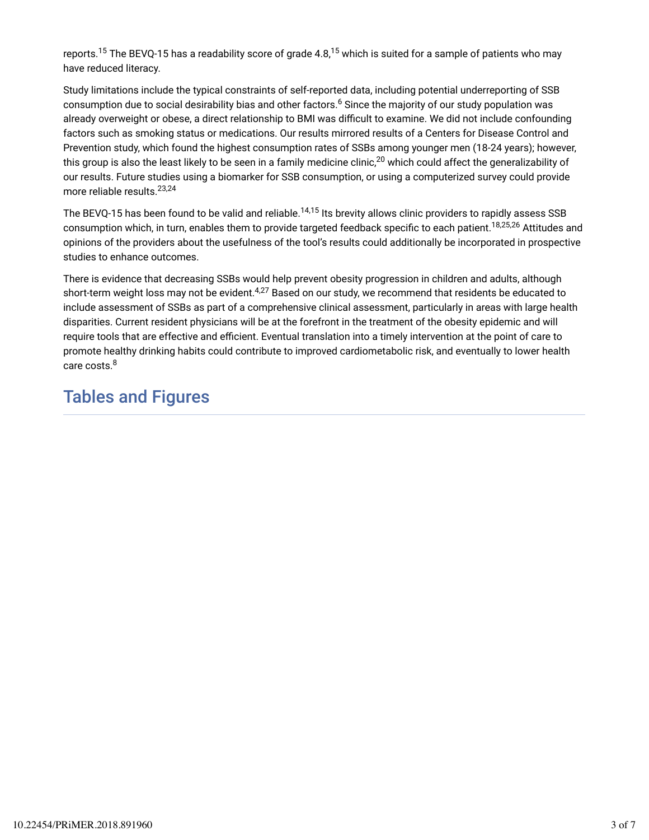reports.<sup>15</sup> The BEVQ-15 has a readability score of grade 4.8,<sup>15</sup> which is suited for a sample of patients who may have reduced literacy.

Study limitations include the typical constraints of self-reported data, including potential underreporting of SSB consumption due to social desirability bias and other factors. $^6$  Since the majority of our study population was already overweight or obese, a direct relationship to BMI was difficult to examine. We did not include confounding factors such as smoking status or medications. Our results mirrored results of a Centers for Disease Control and Prevention study, which found the highest consumption rates of SSBs among younger men (18-24 years); however, this group is also the least likely to be seen in a family medicine clinic, $^{20}$  which could affect the generalizability of our results. Future studies using a biomarker for SSB consumption, or using a computerized survey could provide more reliable results. 23,24

The BEVQ-15 has been found to be valid and reliable. $^{14,15}$  Its brevity allows clinic providers to rapidly assess SSB consumption which, in turn, enables them to provide targeted feedback specific to each patient.<sup>18,25,26</sup> Attitudes and opinions of the providers about the usefulness of the tool's results could additionally be incorporated in prospective studies to enhance outcomes.

There is evidence that decreasing SSBs would help prevent obesity progression in children and adults, although short-term weight loss may not be evident.<sup>4,27</sup> Based on our study, we recommend that residents be educated to include assessment of SSBs as part of a comprehensive clinical assessment, particularly in areas with large health disparities. Current resident physicians will be at the forefront in the treatment of the obesity epidemic and will require tools that are effective and efficient. Eventual translation into a timely intervention at the point of care to promote healthy drinking habits could contribute to improved cardiometabolic risk, and eventually to lower health care costs. 8

# Tables and Figures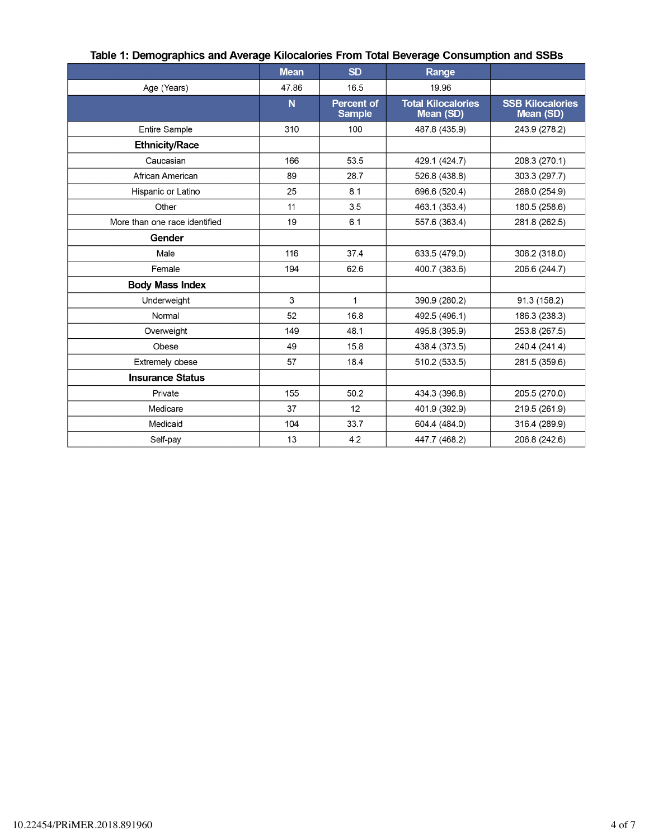|                               | <b>Mean</b> | <b>SD</b>                          | Range                                  |                                      |
|-------------------------------|-------------|------------------------------------|----------------------------------------|--------------------------------------|
| Age (Years)                   | 47.86       | 16.5                               | 19.96                                  |                                      |
|                               | N           | <b>Percent of</b><br><b>Sample</b> | <b>Total Kilocalories</b><br>Mean (SD) | <b>SSB Kilocalories</b><br>Mean (SD) |
| Entire Sample                 | 310         | 100                                | 487.8 (435.9)                          | 243.9 (278.2)                        |
| <b>Ethnicity/Race</b>         |             |                                    |                                        |                                      |
| Caucasian                     | 166         | 53.5                               | 429.1 (424.7)                          | 208.3 (270.1)                        |
| African American              | 89          | 28.7                               | 526.8 (438.8)                          | 303.3 (297.7)                        |
| Hispanic or Latino            | 25          | 8.1                                | 696.6 (520.4)                          | 268.0 (254.9)                        |
| Other                         | 11          | 3.5                                | 463.1 (353.4)                          | 180.5 (258.6)                        |
| More than one race identified | 19          | 6.1                                | 557.6 (363.4)                          | 281.8 (262.5)                        |
| Gender                        |             |                                    |                                        |                                      |
| Male                          | 116         | 37.4                               | 633.5 (479.0)                          | 306.2 (318.0)                        |
| Female                        | 194         | 62.6                               | 400.7 (383.6)                          | 206.6 (244.7)                        |
| <b>Body Mass Index</b>        |             |                                    |                                        |                                      |
| Underweight                   | 3           | $\mathbf{1}$                       | 390.9 (280.2)                          | 91.3 (158.2)                         |
| Normal                        | 52          | 16.8                               | 492.5 (496.1)                          | 186.3 (238.3)                        |
| Overweight                    | 149         | 48.1                               | 495.8 (395.9)                          | 253.8 (267.5)                        |
| Obese                         | 49          | 15.8                               | 438.4 (373.5)                          | 240.4 (241.4)                        |
| Extremely obese               | 57          | 18.4                               | 510.2 (533.5)                          | 281.5 (359.6)                        |
| <b>Insurance Status</b>       |             |                                    |                                        |                                      |
| Private                       | 155         | 50.2                               | 434.3 (396.8)                          | 205.5 (270.0)                        |
| Medicare                      | 37          | 12                                 | 401.9 (392.9)                          | 219.5 (261.9)                        |
| Medicaid                      | 104         | 33.7                               | 604.4 (484.0)                          | 316.4 (289.9)                        |
| Self-pay                      | 13          | 4.2                                | 447.7 (468.2)                          | 206.8 (242.6)                        |

# Table 1: Demographics and Average Kilocalories From Total Beverage Consumption and SSBs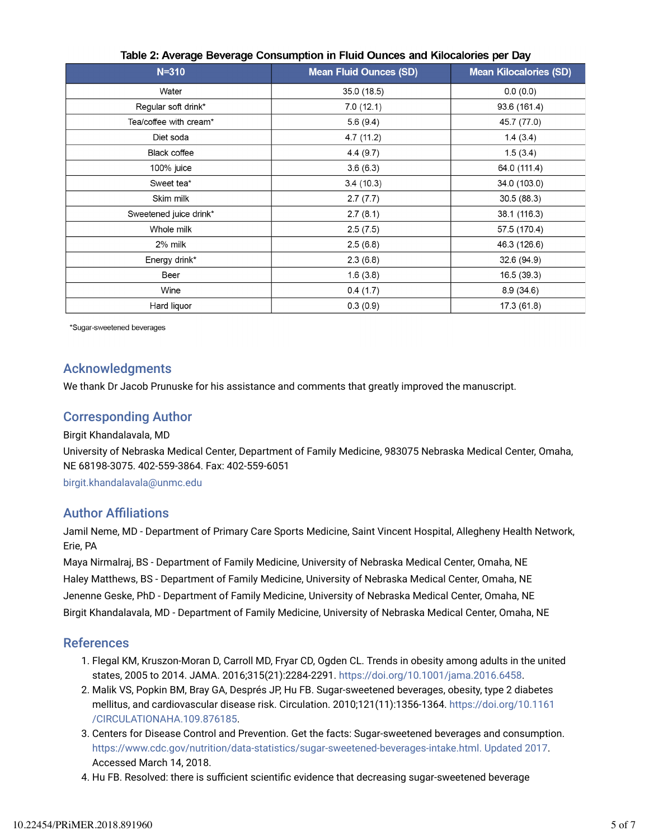| $N = 310$              | <b>Mean Fluid Ounces (SD)</b> | <b>Mean Kilocalories (SD)</b> |  |  |  |
|------------------------|-------------------------------|-------------------------------|--|--|--|
| Water                  | 35.0 (18.5)                   | 0.0(0.0)                      |  |  |  |
| Regular soft drink*    | 7.0(12.1)                     | 93.6 (161.4)                  |  |  |  |
| Tea/coffee with cream* | 5.6(9.4)                      | 45.7 (77.0)                   |  |  |  |
| Diet soda              | 4.7(11.2)                     | 1.4(3.4)                      |  |  |  |
| Black coffee           | 4.4(9.7)                      | 1.5(3.4)                      |  |  |  |
| 100% juice             | 3.6(6.3)                      | 64.0 (111.4)                  |  |  |  |
| Sweet tea*             | 3.4(10.3)                     | 34.0 (103.0)                  |  |  |  |
| Skim milk              | 2.7(7.7)                      | 30.5(88.3)                    |  |  |  |
| Sweetened juice drink* | 2.7(8.1)                      | 38.1 (116.3)                  |  |  |  |
| Whole milk             | 2.5(7.5)                      | 57.5 (170.4)                  |  |  |  |
| 2% milk                | 2.5(6.8)                      | 46.3 (126.6)                  |  |  |  |
| Energy drink*          | 2.3(6.8)                      | 32.6 (94.9)                   |  |  |  |
| Beer                   | 1.6(3.8)                      | 16.5 (39.3)                   |  |  |  |
| Wine                   | 0.4(1.7)                      | 8.9(34.6)                     |  |  |  |
| Hard liquor            | 0.3(0.9)                      | 17.3 (61.8)                   |  |  |  |

### Table 2: Average Beverage Consumption in Fluid Ounces and Kilocalories per Day

\*Sugar-sweetened beverages

### Acknowledgments

We thank Dr Jacob Prunuske for his assistance and comments that greatly improved the manuscript.

# Corresponding Author

#### Birgit Khandalavala, MD

University of Nebraska Medical Center, Department of Family Medicine, 983075 Nebraska Medical Center, Omaha, NE 68198-3075. 402-559-3864. Fax: 402-559-6051

birgit.khandalavala@unmc.edu

### **Author Affiliations**

Jamil Neme, MD - Department of Primary Care Sports Medicine, Saint Vincent Hospital, Allegheny Health Network, Erie, PA

Maya Nirmalraj, BS - Department of Family Medicine, University of Nebraska Medical Center, Omaha, NE Haley Matthews, BS - Department of Family Medicine, University of Nebraska Medical Center, Omaha, NE Jenenne Geske, PhD - Department of Family Medicine, University of Nebraska Medical Center, Omaha, NE Birgit Khandalavala, MD - Department of Family Medicine, University of Nebraska Medical Center, Omaha, NE

### References

- Flegal KM, Kruszon-Moran D, Carroll MD, Fryar CD, Ogden CL. Trends in obesity among adults in the united 1. states, 2005 to 2014. JAMA. 2016;315(21):2284-2291. https://doi.org/10.1001/jama.2016.6458.
- 2. Malik VS, Popkin BM, Bray GA, Després JP, Hu FB. Sugar-sweetened beverages, obesity, type 2 diabetes mellitus, and cardiovascular disease risk. Circulation. 2010;121(11):1356-1364. https://doi.org/10.1161 /CIRCULATIONAHA.109.876185.
- 3. Centers for Disease Control and Prevention. Get the facts: Sugar-sweetened beverages and consumption. https://www.cdc.gov/nutrition/data-statistics/sugar-sweetened-beverages-intake.html. Updated 2017. Accessed March 14, 2018.
- 4. Hu FB. Resolved: there is sufficient scientific evidence that decreasing sugar-sweetened beverage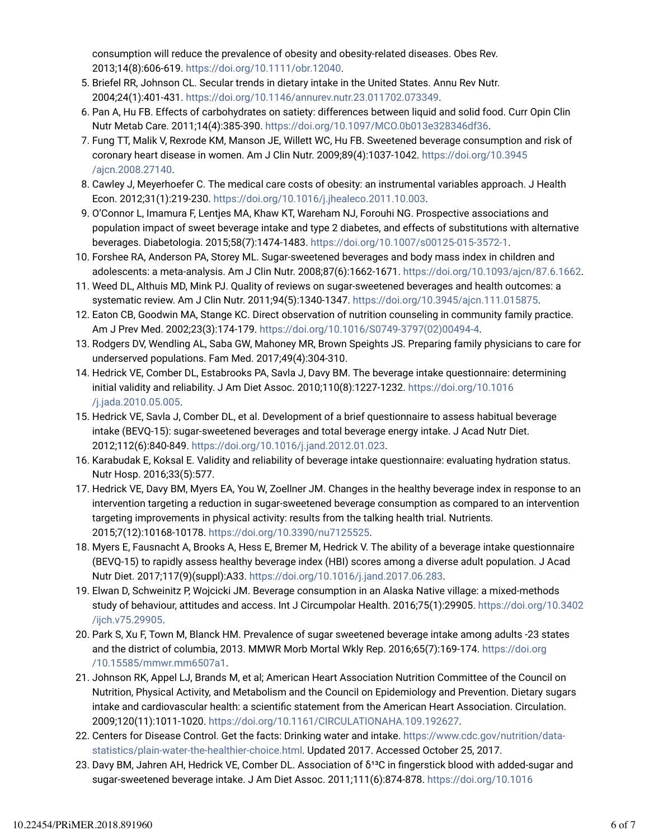consumption will reduce the prevalence of obesity and obesity-related diseases. Obes Rev. 2013;14(8):606-619. https://doi.org/10.1111/obr.12040.

- 5. Briefel RR, Johnson CL. Secular trends in dietary intake in the United States. Annu Rev Nutr. 2004;24(1):401-431. https://doi.org/10.1146/annurev.nutr.23.011702.073349.
- 6. Pan A, Hu FB. Effects of carbohydrates on satiety: differences between liquid and solid food. Curr Opin Clin Nutr Metab Care. 2011;14(4):385-390. https://doi.org/10.1097/MCO.0b013e328346df36.
- Fung TT, Malik V, Rexrode KM, Manson JE, Willett WC, Hu FB. Sweetened beverage consumption and risk of 7. coronary heart disease in women. Am J Clin Nutr. 2009;89(4):1037-1042. https://doi.org/10.3945 /ajcn.2008.27140.
- 8. Cawley J, Meyerhoefer C. The medical care costs of obesity: an instrumental variables approach. J Health Econ. 2012;31(1):219-230. https://doi.org/10.1016/j.jhealeco.2011.10.003.
- O'Connor L, Imamura F, Lentjes MA, Khaw KT, Wareham NJ, Forouhi NG. Prospective associations and 9. population impact of sweet beverage intake and type 2 diabetes, and effects of substitutions with alternative beverages. Diabetologia. 2015;58(7):1474-1483. https://doi.org/10.1007/s00125-015-3572-1.
- Forshee RA, Anderson PA, Storey ML. Sugar-sweetened beverages and body mass index in children and 10. adolescents: a meta-analysis. Am J Clin Nutr. 2008;87(6):1662-1671. https://doi.org/10.1093/ajcn/87.6.1662.
- 11. Weed DL, Althuis MD, Mink PJ. Quality of reviews on sugar-sweetened beverages and health outcomes: a systematic review. Am J Clin Nutr. 2011;94(5):1340-1347. https://doi.org/10.3945/ajcn.111.015875.
- 12. Eaton CB, Goodwin MA, Stange KC. Direct observation of nutrition counseling in community family practice. Am J Prev Med. 2002;23(3):174-179. https://doi.org/10.1016/S0749-3797(02)00494-4.
- 13. Rodgers DV, Wendling AL, Saba GW, Mahoney MR, Brown Speights JS. Preparing family physicians to care for underserved populations. Fam Med. 2017;49(4):304-310.
- 14. Hedrick VE, Comber DL, Estabrooks PA, Savla J, Davy BM. The beverage intake questionnaire: determining initial validity and reliability. J Am Diet Assoc. 2010;110(8):1227-1232. https://doi.org/10.1016 /j.jada.2010.05.005.
- 15. Hedrick VE, Savla J, Comber DL, et al. Development of a brief questionnaire to assess habitual beverage intake (BEVQ-15): sugar-sweetened beverages and total beverage energy intake. J Acad Nutr Diet. 2012;112(6):840-849. https://doi.org/10.1016/j.jand.2012.01.023.
- 16. Karabudak E, Koksal E. Validity and reliability of beverage intake questionnaire: evaluating hydration status. Nutr Hosp. 2016;33(5):577.
- 17. Hedrick VE, Davy BM, Myers EA, You W, Zoellner JM. Changes in the healthy beverage index in response to an intervention targeting a reduction in sugar-sweetened beverage consumption as compared to an intervention targeting improvements in physical activity: results from the talking health trial. Nutrients. 2015;7(12):10168-10178. https://doi.org/10.3390/nu7125525.
- 18. Myers E, Fausnacht A, Brooks A, Hess E, Bremer M, Hedrick V. The ability of a beverage intake questionnaire (BEVQ-15) to rapidly assess healthy beverage index (HBI) scores among a diverse adult population. J Acad Nutr Diet. 2017;117(9)(suppl):A33. https://doi.org/10.1016/j.jand.2017.06.283.
- 19. Elwan D, Schweinitz P, Wojcicki JM. Beverage consumption in an Alaska Native village: a mixed-methods study of behaviour, attitudes and access. Int J Circumpolar Health. 2016;75(1):29905. https://doi.org/10.3402 /ijch.v75.29905.
- 20. Park S, Xu F, Town M, Blanck HM. Prevalence of sugar sweetened beverage intake among adults -23 states and the district of columbia, 2013. MMWR Morb Mortal Wkly Rep. 2016;65(7):169-174. https://doi.org /10.15585/mmwr.mm6507a1.
- 21. Johnson RK, Appel LJ, Brands M, et al; American Heart Association Nutrition Committee of the Council on Nutrition, Physical Activity, and Metabolism and the Council on Epidemiology and Prevention. Dietary sugars intake and cardiovascular health: a scientific statement from the American Heart Association. Circulation. 2009;120(11):1011-1020. https://doi.org/10.1161/CIRCULATIONAHA.109.192627.
- 22. Centers for Disease Control. Get the facts: Drinking water and intake. https://www.cdc.gov/nutrition/datastatistics/plain-water-the-healthier-choice.html. Updated 2017. Accessed October 25, 2017.
- 23. Davy BM, Jahren AH, Hedrick VE, Comber DL. Association of δ1ªC in fingerstick blood with added-sugar and sugar-sweetened beverage intake. J Am Diet Assoc. 2011;111(6):874-878. https://doi.org/10.1016